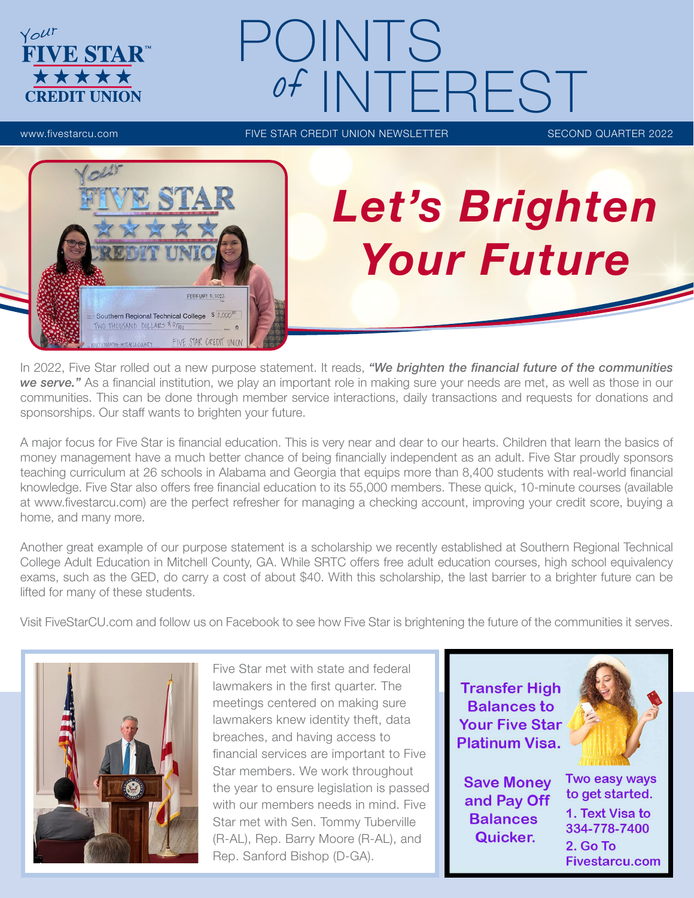

# POINTS NTEREST

www.fivestarcu.com **FIVE STAR CREDIT UNION NEWSLETTER** SECOND QUARTER 2022



# *Let's Brighten Your Future*

In 2022, Five Star rolled out a new purpose statement. It reads, *"We brighten the financial future of the communities we serve."* As a financial institution, we play an important role in making sure your needs are met, as well as those in our communities. This can be done through member service interactions, daily transactions and requests for donations and sponsorships. Our staff wants to brighten your future.

A major focus for Five Star is financial education. This is very near and dear to our hearts. Children that learn the basics of money management have a much better chance of being financially independent as an adult. Five Star proudly sponsors teaching curriculum at 26 schools in Alabama and Georgia that equips more than 8,400 students with real-world financial knowledge. Five Star also offers free financial education to its 55,000 members. These quick, 10-minute courses (available at www.fivestarcu.com) are the perfect refresher for managing a checking account, improving your credit score, buying a home, and many more.

Another great example of our purpose statement is a scholarship we recently established at Southern Regional Technical College Adult Education in Mitchell County, GA. While SRTC offers free adult education courses, high school equivalency exams, such as the GED, do carry a cost of about \$40. With this scholarship, the last barrier to a brighter future can be lifted for many of these students.

Visit FiveStarCU.com and follow us on Facebook to see how Five Star is brightening the future of the communities it serves.



Five Star met with state and federal lawmakers in the first quarter. The meetings centered on making sure lawmakers knew identity theft, data breaches, and having access to financial services are important to Five Star members. We work throughout the year to ensure legislation is passed with our members needs in mind. Five Star met with Sen. Tommy Tuberville (R-AL), Rep. Barry Moore (R-AL), and Rep. Sanford Bishop (D-GA).



**Save Money** and Pay Off **Balances** Quicker.



Two easy ways to get started. 1. Text Visa to 334-778-7400 2. Go To **Fivestarcu.com**